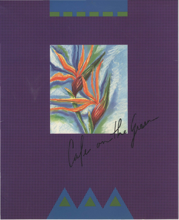